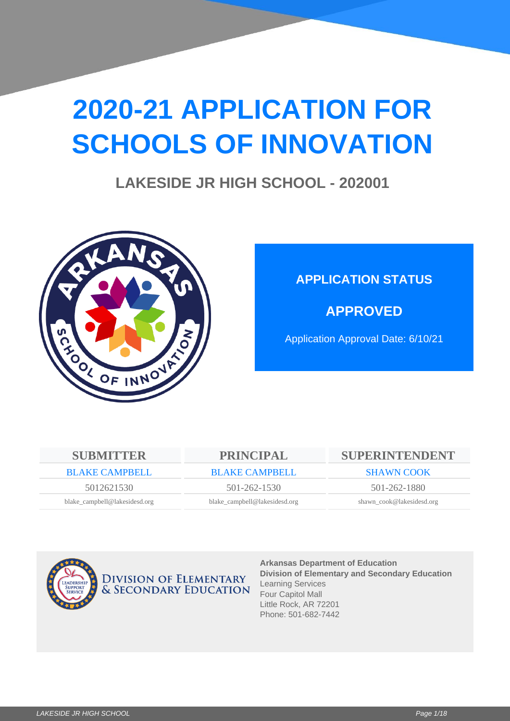# **2020-21 APPLICATION FOR SCHOOLS OF INNOVATION**

## **LAKESIDE JR HIGH SCHOOL - 202001**



## **APPLICATION STATUS**

**APPROVED**

Application Approval Date: 6/10/21

| <b>SUBMITTER</b>              | <b>PRINCIPAL</b>              | SUPERINTENDENT            |  |
|-------------------------------|-------------------------------|---------------------------|--|
| <b>BLAKE CAMPBELL</b>         | <b>BLAKE CAMPBELL</b>         | <b>SHAWN COOK</b>         |  |
| 5012621530                    | $501 - 262 - 1530$            | 501-262-1880              |  |
| blake_campbell@lakesidesd.org | blake_campbell@lakesidesd.org | shawn_cook@lakesidesd.org |  |



**Arkansas Department of Education Division of Elementary and Secondary Education** Learning Services Four Capitol Mall Little Rock, AR 72201 Phone: 501-682-7442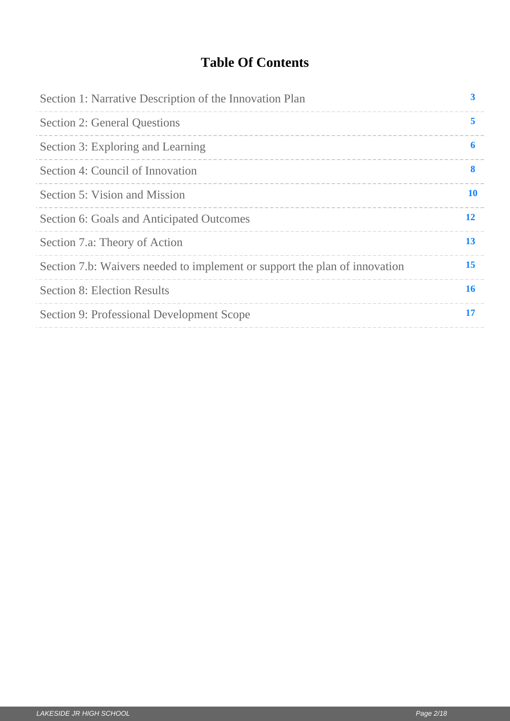## **Table Of Contents**

| Section 1: Narrative Description of the Innovation Plan                    | 3         |
|----------------------------------------------------------------------------|-----------|
| <b>Section 2: General Questions</b>                                        | 5         |
| Section 3: Exploring and Learning                                          | 6         |
| Section 4: Council of Innovation                                           | 8         |
| Section 5: Vision and Mission                                              | <b>10</b> |
| Section 6: Goals and Anticipated Outcomes                                  | <b>12</b> |
| Section 7.a: Theory of Action                                              | 13        |
| Section 7.b: Waivers needed to implement or support the plan of innovation | 15        |
| <b>Section 8: Election Results</b>                                         | 16        |
| Section 9: Professional Development Scope                                  | <b>17</b> |
|                                                                            |           |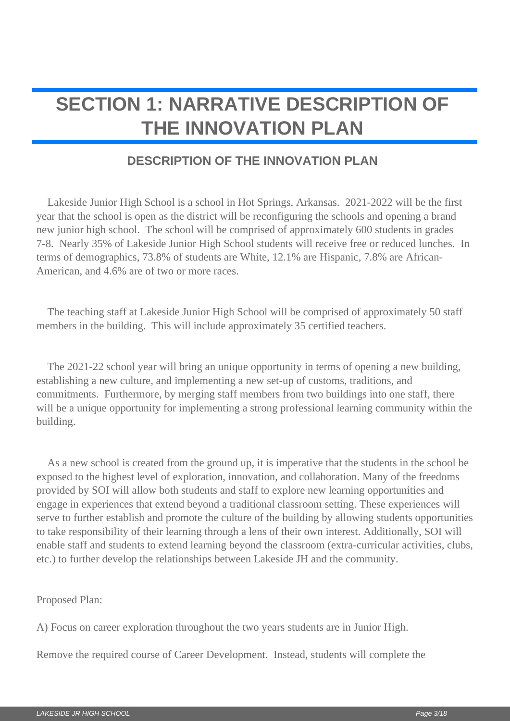## <span id="page-2-0"></span>**SECTION 1: NARRATIVE DESCRIPTION OF THE INNOVATION PLAN**

#### **DESCRIPTION OF THE INNOVATION PLAN**

 Lakeside Junior High School is a school in Hot Springs, Arkansas. 2021-2022 will be the first year that the school is open as the district will be reconfiguring the schools and opening a brand new junior high school. The school will be comprised of approximately 600 students in grades 7-8. Nearly 35% of Lakeside Junior High School students will receive free or reduced lunches. In terms of demographics, 73.8% of students are White, 12.1% are Hispanic, 7.8% are African-American, and 4.6% are of two or more races.

 The teaching staff at Lakeside Junior High School will be comprised of approximately 50 staff members in the building. This will include approximately 35 certified teachers.

 The 2021-22 school year will bring an unique opportunity in terms of opening a new building, establishing a new culture, and implementing a new set-up of customs, traditions, and commitments. Furthermore, by merging staff members from two buildings into one staff, there will be a unique opportunity for implementing a strong professional learning community within the building.

 As a new school is created from the ground up, it is imperative that the students in the school be exposed to the highest level of exploration, innovation, and collaboration. Many of the freedoms provided by SOI will allow both students and staff to explore new learning opportunities and engage in experiences that extend beyond a traditional classroom setting. These experiences will serve to further establish and promote the culture of the building by allowing students opportunities to take responsibility of their learning through a lens of their own interest. Additionally, SOI will enable staff and students to extend learning beyond the classroom (extra-curricular activities, clubs, etc.) to further develop the relationships between Lakeside JH and the community.

Proposed Plan:

A) Focus on career exploration throughout the two years students are in Junior High.

Remove the required course of Career Development. Instead, students will complete the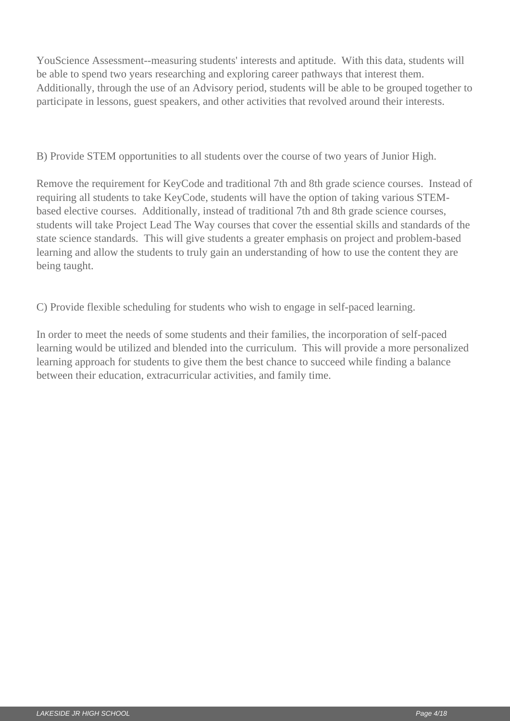YouScience Assessment--measuring students' interests and aptitude. With this data, students will be able to spend two years researching and exploring career pathways that interest them. Additionally, through the use of an Advisory period, students will be able to be grouped together to participate in lessons, guest speakers, and other activities that revolved around their interests.

B) Provide STEM opportunities to all students over the course of two years of Junior High.

Remove the requirement for KeyCode and traditional 7th and 8th grade science courses. Instead of requiring all students to take KeyCode, students will have the option of taking various STEMbased elective courses. Additionally, instead of traditional 7th and 8th grade science courses, students will take Project Lead The Way courses that cover the essential skills and standards of the state science standards. This will give students a greater emphasis on project and problem-based learning and allow the students to truly gain an understanding of how to use the content they are being taught.

C) Provide flexible scheduling for students who wish to engage in self-paced learning.

In order to meet the needs of some students and their families, the incorporation of self-paced learning would be utilized and blended into the curriculum. This will provide a more personalized learning approach for students to give them the best chance to succeed while finding a balance between their education, extracurricular activities, and family time.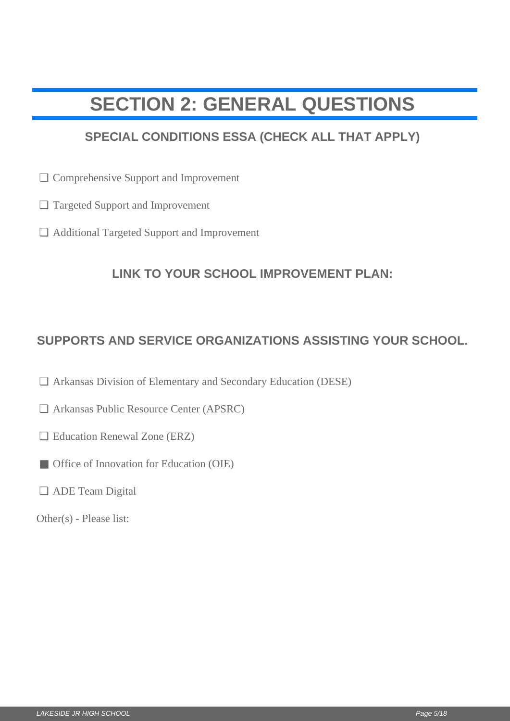## <span id="page-4-0"></span>**SECTION 2: GENERAL QUESTIONS**

## **SPECIAL CONDITIONS ESSA (CHECK ALL THAT APPLY)**

- □ Comprehensive Support and Improvement
- Targeted Support and Improvement ❏
- Additional Targeted Support and Improvement ❏

#### **LINK TO YOUR SCHOOL IMPROVEMENT PLAN:**

# **SUPPORTS AND SERVICE ORGANIZATIONS ASSISTING YOUR SCHOOL.** LI Comprehensive Support and Improvement<br>
<br>
CI Targeted Support and Improvement<br>
<br>
LINK TO YOUR SCHOOL IMPROVEMENT PLAN:<br>
<br>
SUPPORTS AND SERVICE ORGANIZATIONS ASSISTING YOUR SCHO<br>
<br>
Ω Arkansas Division of Elementary and

- Arkansas Division of Elementary and Secondary Education (DESE) ❏
- Arkansas Public Resource Center (APSRC) ❏
- □ Education Renewal Zone (ERZ)
- Office of Innovation for Education (OIE)
- ADE Team Digital ❏

Other(s) - Please list: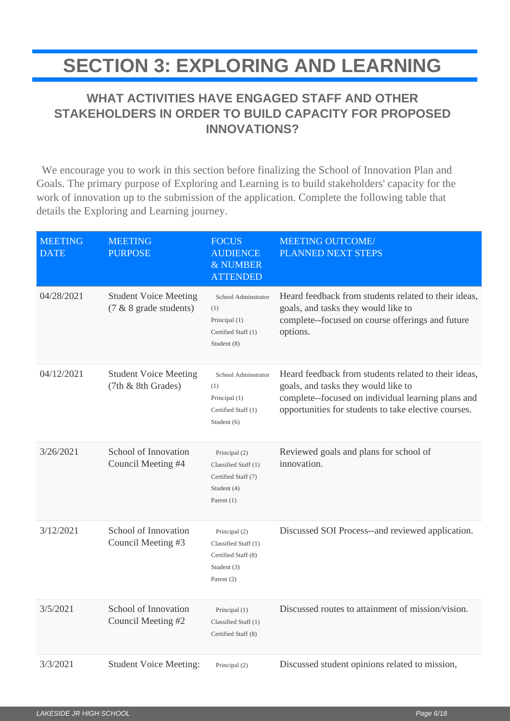## <span id="page-5-0"></span>**SECTION 3: EXPLORING AND LEARNING**

## **WHAT ACTIVITIES HAVE ENGAGED STAFF AND OTHER STAKEHOLDERS IN ORDER TO BUILD CAPACITY FOR PROPOSED INNOVATIONS?**

 We encourage you to work in this section before finalizing the School of Innovation Plan and Goals. The primary purpose of Exploring and Learning is to build stakeholders' capacity for the work of innovation up to the submission of the application. Complete the following table that details the Exploring and Learning journey.

| <b>MEETING</b><br><b>DATE</b> | <b>MEETING</b><br><b>PURPOSE</b>                       | <b>FOCUS</b><br><b>AUDIENCE</b><br>& NUMBER<br><b>ATTENDED</b>                              | <b>MEETING OUTCOME/</b><br>PLANNED NEXT STEPS                                                                                                                                                             |
|-------------------------------|--------------------------------------------------------|---------------------------------------------------------------------------------------------|-----------------------------------------------------------------------------------------------------------------------------------------------------------------------------------------------------------|
| 04/28/2021                    | <b>Student Voice Meeting</b><br>(7 & 8 grade students) | School Adminstrator<br>(1)<br>Principal (1)<br>Certified Staff (1)<br>Student (8)           | Heard feedback from students related to their ideas,<br>goals, and tasks they would like to<br>complete--focused on course offerings and future<br>options.                                               |
| 04/12/2021                    | <b>Student Voice Meeting</b><br>(7th & 8th Grades)     | School Adminstrator<br>(1)<br>Principal (1)<br>Certified Staff (1)<br>Student (6)           | Heard feedback from students related to their ideas,<br>goals, and tasks they would like to<br>complete--focused on individual learning plans and<br>opportunities for students to take elective courses. |
| 3/26/2021                     | School of Innovation<br>Council Meeting #4             | Principal (2)<br>Classified Staff (1)<br>Certified Staff (7)<br>Student (4)<br>Parent $(1)$ | Reviewed goals and plans for school of<br>innovation.                                                                                                                                                     |
| 3/12/2021                     | School of Innovation<br>Council Meeting #3             | Principal (2)<br>Classified Staff (1)<br>Certified Staff (8)<br>Student (3)<br>Parent (2)   | Discussed SOI Process--and reviewed application.                                                                                                                                                          |
| 3/5/2021                      | School of Innovation<br>Council Meeting #2             | Principal (1)<br>Classified Staff (1)<br>Certified Staff (8)                                | Discussed routes to attainment of mission/vision.                                                                                                                                                         |
| 3/3/2021                      | <b>Student Voice Meeting:</b>                          | Principal (2)                                                                               | Discussed student opinions related to mission,                                                                                                                                                            |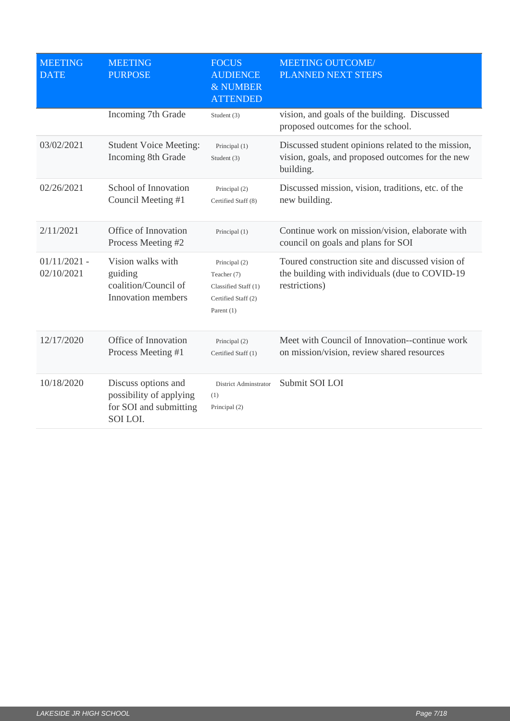| <b>MEETING</b><br><b>DATE</b> | <b>MEETING</b><br><b>PURPOSE</b>                                                     | <b>FOCUS</b><br><b>AUDIENCE</b><br>& NUMBER<br><b>ATTENDED</b>                              | <b>MEETING OUTCOME/</b><br>PLANNED NEXT STEPS                                                                        |
|-------------------------------|--------------------------------------------------------------------------------------|---------------------------------------------------------------------------------------------|----------------------------------------------------------------------------------------------------------------------|
|                               | Incoming 7th Grade                                                                   | Student (3)                                                                                 | vision, and goals of the building. Discussed<br>proposed outcomes for the school.                                    |
| 03/02/2021                    | <b>Student Voice Meeting:</b><br>Incoming 8th Grade                                  | Principal (1)<br>Student (3)                                                                | Discussed student opinions related to the mission,<br>vision, goals, and proposed outcomes for the new<br>building.  |
| 02/26/2021                    | School of Innovation<br>Council Meeting #1                                           | Principal (2)<br>Certified Staff (8)                                                        | Discussed mission, vision, traditions, etc. of the<br>new building.                                                  |
| 2/11/2021                     | Office of Innovation<br>Process Meeting #2                                           | Principal (1)                                                                               | Continue work on mission/vision, elaborate with<br>council on goals and plans for SOI                                |
| $01/11/2021$ -<br>02/10/2021  | Vision walks with<br>guiding<br>coalition/Council of<br>Innovation members           | Principal (2)<br>Teacher (7)<br>Classified Staff (1)<br>Certified Staff (2)<br>Parent $(1)$ | Toured construction site and discussed vision of<br>the building with individuals (due to COVID-19)<br>restrictions) |
| 12/17/2020                    | Office of Innovation<br>Process Meeting #1                                           | Principal (2)<br>Certified Staff (1)                                                        | Meet with Council of Innovation--continue work<br>on mission/vision, review shared resources                         |
| 10/18/2020                    | Discuss options and<br>possibility of applying<br>for SOI and submitting<br>SOI LOI. | District Adminstrator<br>(1)<br>Principal (2)                                               | Submit SOI LOI                                                                                                       |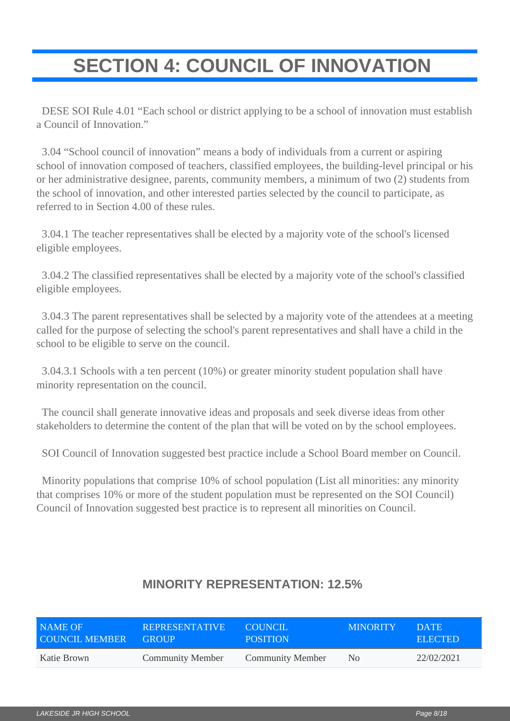# <span id="page-7-0"></span>**SECTION 4: COUNCIL OF INNOVATION**

 DESE SOI Rule 4.01 "Each school or district applying to be a school of innovation must establish a Council of Innovation."

 3.04 "School council of innovation" means a body of individuals from a current or aspiring school of innovation composed of teachers, classified employees, the building-level principal or his or her administrative designee, parents, community members, a minimum of two (2) students from the school of innovation, and other interested parties selected by the council to participate, as referred to in Section 4.00 of these rules.

 3.04.1 The teacher representatives shall be elected by a majority vote of the school's licensed eligible employees.

 3.04.2 The classified representatives shall be elected by a majority vote of the school's classified eligible employees.

 3.04.3 The parent representatives shall be selected by a majority vote of the attendees at a meeting called for the purpose of selecting the school's parent representatives and shall have a child in the school to be eligible to serve on the council.

 3.04.3.1 Schools with a ten percent (10%) or greater minority student population shall have minority representation on the council.

 The council shall generate innovative ideas and proposals and seek diverse ideas from other stakeholders to determine the content of the plan that will be voted on by the school employees.

SOI Council of Innovation suggested best practice include a School Board member on Council.

 Minority populations that comprise 10% of school population (List all minorities: any minority that comprises 10% or more of the student population must be represented on the SOI Council) Council of Innovation suggested best practice is to represent all minorities on Council.

| NAME OF               | <b>REPRESENTATIVE</b>   | COUNCIL                 | <b>MINORITY</b> | DATE.          |
|-----------------------|-------------------------|-------------------------|-----------------|----------------|
| <b>COUNCIL MEMBER</b> | <b>GROUP</b>            | <b>POSITION</b>         |                 | <b>ELECTED</b> |
| Katie Brown           | <b>Community Member</b> | <b>Community Member</b> | No.             | 22/02/2021     |

#### **MINORITY REPRESENTATION: 12.5%**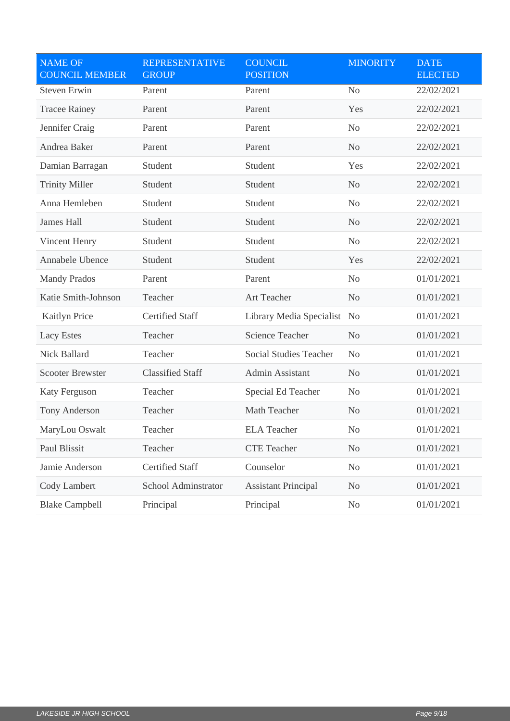| <b>NAME OF</b><br><b>COUNCIL MEMBER</b> | <b>REPRESENTATIVE</b><br><b>GROUP</b> | <b>COUNCIL</b><br><b>POSITION</b> | <b>MINORITY</b> | <b>DATE</b><br><b>ELECTED</b> |
|-----------------------------------------|---------------------------------------|-----------------------------------|-----------------|-------------------------------|
| <b>Steven Erwin</b>                     | Parent                                | Parent                            | N <sub>o</sub>  | 22/02/2021                    |
| <b>Tracee Rainey</b>                    | Parent                                | Parent                            | Yes             | 22/02/2021                    |
| Jennifer Craig                          | Parent                                | Parent                            | N <sub>o</sub>  | 22/02/2021                    |
| Andrea Baker                            | Parent                                | Parent                            | N <sub>o</sub>  | 22/02/2021                    |
| Damian Barragan                         | Student                               | Student                           | Yes             | 22/02/2021                    |
| <b>Trinity Miller</b>                   | Student                               | Student                           | N <sub>o</sub>  | 22/02/2021                    |
| Anna Hemleben                           | Student                               | Student                           | N <sub>o</sub>  | 22/02/2021                    |
| <b>James Hall</b>                       | Student                               | Student                           | N <sub>o</sub>  | 22/02/2021                    |
| Vincent Henry                           | Student                               | Student                           | N <sub>o</sub>  | 22/02/2021                    |
| Annabele Ubence                         | Student                               | Student                           | Yes             | 22/02/2021                    |
| <b>Mandy Prados</b>                     | Parent                                | Parent                            | N <sub>o</sub>  | 01/01/2021                    |
| Katie Smith-Johnson                     | Teacher                               | Art Teacher                       | N <sub>o</sub>  | 01/01/2021                    |
| Kaitlyn Price                           | <b>Certified Staff</b>                | Library Media Specialist          | N <sub>o</sub>  | 01/01/2021                    |
| <b>Lacy Estes</b>                       | Teacher                               | <b>Science Teacher</b>            | N <sub>o</sub>  | 01/01/2021                    |
| Nick Ballard                            | Teacher                               | <b>Social Studies Teacher</b>     | N <sub>o</sub>  | 01/01/2021                    |
| <b>Scooter Brewster</b>                 | <b>Classified Staff</b>               | Admin Assistant                   | N <sub>o</sub>  | 01/01/2021                    |
| <b>Katy Ferguson</b>                    | Teacher                               | Special Ed Teacher                | No              | 01/01/2021                    |
| Tony Anderson                           | Teacher                               | Math Teacher                      | N <sub>o</sub>  | 01/01/2021                    |
| MaryLou Oswalt                          | Teacher                               | <b>ELA</b> Teacher                | N <sub>0</sub>  | 01/01/2021                    |
| Paul Blissit                            | Teacher                               | <b>CTE</b> Teacher                | N <sub>o</sub>  | 01/01/2021                    |
| Jamie Anderson                          | Certified Staff                       | Counselor                         | N <sub>o</sub>  | 01/01/2021                    |
| Cody Lambert                            | School Adminstrator                   | <b>Assistant Principal</b>        | N <sub>o</sub>  | 01/01/2021                    |
| <b>Blake Campbell</b>                   | Principal                             | Principal                         | No              | 01/01/2021                    |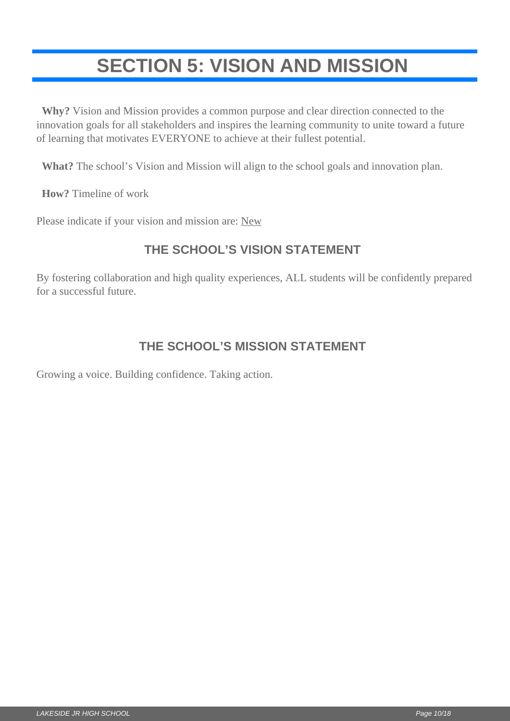# <span id="page-9-0"></span>**SECTION 5: VISION AND MISSION**

 **Why?** Vision and Mission provides a common purpose and clear direction connected to the innovation goals for all stakeholders and inspires the learning community to unite toward a future of learning that motivates EVERYONE to achieve at their fullest potential.

**What?** The school's Vision and Mission will align to the school goals and innovation plan.

**How?** Timeline of work

Please indicate if your vision and mission are: New

#### **THE SCHOOL'S VISION STATEMENT**

By fostering collaboration and high quality experiences, ALL students will be confidently prepared for a successful future.

#### **THE SCHOOL'S MISSION STATEMENT**

Growing a voice. Building confidence. Taking action.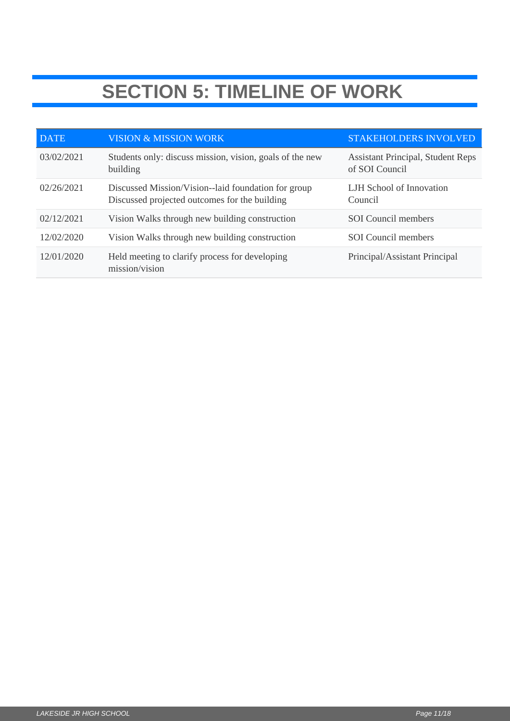# **SECTION 5: TIMELINE OF WORK**

| <b>DATE</b> | <b>VISION &amp; MISSION WORK</b>                                                                    | STAKEHOLDERS INVOLVED                                      |
|-------------|-----------------------------------------------------------------------------------------------------|------------------------------------------------------------|
| 03/02/2021  | Students only: discuss mission, vision, goals of the new<br>building                                | <b>Assistant Principal, Student Reps</b><br>of SOI Council |
| 02/26/2021  | Discussed Mission/Vision-laid foundation for group<br>Discussed projected outcomes for the building | LJH School of Innovation<br>Council                        |
| 02/12/2021  | Vision Walks through new building construction                                                      | <b>SOI</b> Council members                                 |
| 12/02/2020  | Vision Walks through new building construction                                                      | <b>SOI</b> Council members                                 |
| 12/01/2020  | Held meeting to clarify process for developing<br>mission/vision                                    | Principal/Assistant Principal                              |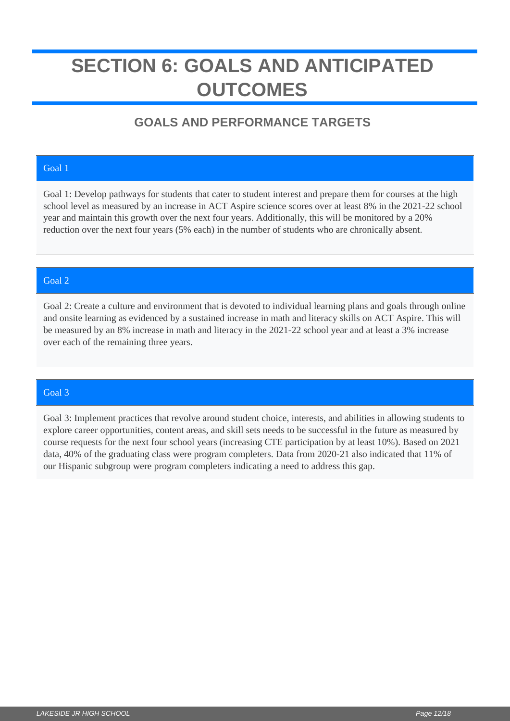## <span id="page-11-0"></span>**SECTION 6: GOALS AND ANTICIPATED OUTCOMES**

## **GOALS AND PERFORMANCE TARGETS**

#### Goal 1

Goal 1: Develop pathways for students that cater to student interest and prepare them for courses at the high school level as measured by an increase in ACT Aspire science scores over at least 8% in the 2021-22 school year and maintain this growth over the next four years. Additionally, this will be monitored by a 20% reduction over the next four years (5% each) in the number of students who are chronically absent.

#### Goal 2

Goal 2: Create a culture and environment that is devoted to individual learning plans and goals through online and onsite learning as evidenced by a sustained increase in math and literacy skills on ACT Aspire. This will be measured by an 8% increase in math and literacy in the 2021-22 school year and at least a 3% increase over each of the remaining three years.

#### Goal 3

Goal 3: Implement practices that revolve around student choice, interests, and abilities in allowing students to explore career opportunities, content areas, and skill sets needs to be successful in the future as measured by course requests for the next four school years (increasing CTE participation by at least 10%). Based on 2021 data, 40% of the graduating class were program completers. Data from 2020-21 also indicated that 11% of our Hispanic subgroup were program completers indicating a need to address this gap.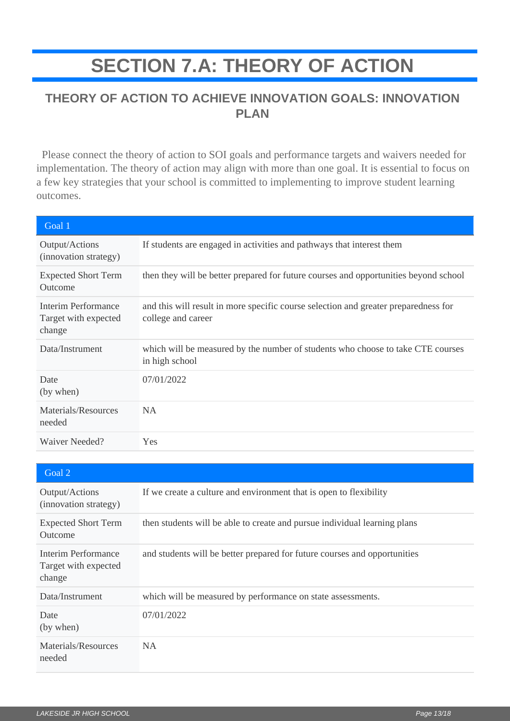# **SECTION 7.A: THEORY OF ACTION**

#### <span id="page-12-0"></span>**THEORY OF ACTION TO ACHIEVE INNOVATION GOALS: INNOVATION PLAN**

 Please connect the theory of action to SOI goals and performance targets and waivers needed for implementation. The theory of action may align with more than one goal. It is essential to focus on a few key strategies that your school is committed to implementing to improve student learning outcomes.

| Goal 1                                                |                                                                                                           |
|-------------------------------------------------------|-----------------------------------------------------------------------------------------------------------|
| Output/Actions<br>(innovation strategy)               | If students are engaged in activities and pathways that interest them                                     |
| <b>Expected Short Term</b><br>Outcome                 | then they will be better prepared for future courses and opportunities beyond school                      |
| Interim Performance<br>Target with expected<br>change | and this will result in more specific course selection and greater preparedness for<br>college and career |
| Data/Instrument                                       | which will be measured by the number of students who choose to take CTE courses<br>in high school         |
| Date<br>(by when)                                     | 07/01/2022                                                                                                |
| Materials/Resources<br>needed                         | <b>NA</b>                                                                                                 |
| Waiver Needed?                                        | <b>Yes</b>                                                                                                |

| Goal 2                                                       |                                                                           |
|--------------------------------------------------------------|---------------------------------------------------------------------------|
| Output/Actions<br>(innovation strategy)                      | If we create a culture and environment that is open to flexibility        |
| <b>Expected Short Term</b><br>Outcome                        | then students will be able to create and pursue individual learning plans |
| <b>Interim Performance</b><br>Target with expected<br>change | and students will be better prepared for future courses and opportunities |
| Data/Instrument                                              | which will be measured by performance on state assessments.               |
| Date<br>(by when)                                            | 07/01/2022                                                                |
| Materials/Resources<br>needed                                | <b>NA</b>                                                                 |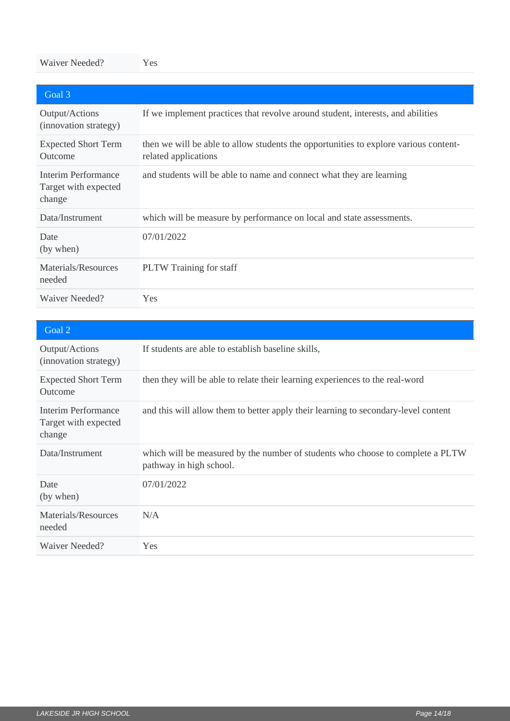#### Waiver Needed? Yes

| Goal 3                                                |                                                                                                              |
|-------------------------------------------------------|--------------------------------------------------------------------------------------------------------------|
| Output/Actions<br>(innovation strategy)               | If we implement practices that revolve around student, interests, and abilities                              |
| <b>Expected Short Term</b><br>Outcome                 | then we will be able to allow students the opportunities to explore various content-<br>related applications |
| Interim Performance<br>Target with expected<br>change | and students will be able to name and connect what they are learning                                         |
| Data/Instrument                                       | which will be measure by performance on local and state assessments.                                         |
| Date<br>(by when)                                     | 07/01/2022                                                                                                   |
| Materials/Resources<br>needed                         | PLTW Training for staff                                                                                      |
| Waiver Needed?                                        | Yes                                                                                                          |

| Goal 2                                                |                                                                                                           |
|-------------------------------------------------------|-----------------------------------------------------------------------------------------------------------|
| Output/Actions<br>(innovation strategy)               | If students are able to establish baseline skills,                                                        |
| <b>Expected Short Term</b><br>Outcome                 | then they will be able to relate their learning experiences to the real-word                              |
| Interim Performance<br>Target with expected<br>change | and this will allow them to better apply their learning to secondary-level content                        |
| Data/Instrument                                       | which will be measured by the number of students who choose to complete a PLTW<br>pathway in high school. |
| Date<br>(by when)                                     | 07/01/2022                                                                                                |
| Materials/Resources<br>needed                         | N/A                                                                                                       |
| Waiver Needed?                                        | <b>Yes</b>                                                                                                |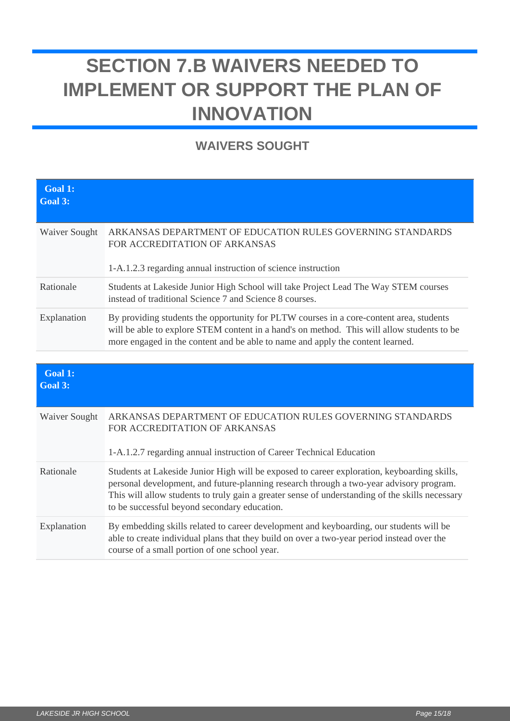# <span id="page-14-0"></span>**SECTION 7.B WAIVERS NEEDED TO IMPLEMENT OR SUPPORT THE PLAN OF INNOVATION**

## **WAIVERS SOUGHT**

| <b>Goal 1:</b><br>Goal 3: |                                                                                                                                                                                                                                                                         |
|---------------------------|-------------------------------------------------------------------------------------------------------------------------------------------------------------------------------------------------------------------------------------------------------------------------|
| Waiver Sought             | ARKANSAS DEPARTMENT OF EDUCATION RULES GOVERNING STANDARDS<br>FOR ACCREDITATION OF ARKANSAS<br>1-A.1.2.3 regarding annual instruction of science instruction                                                                                                            |
| Rationale                 | Students at Lakeside Junior High School will take Project Lead The Way STEM courses<br>instead of traditional Science 7 and Science 8 courses.                                                                                                                          |
| Explanation               | By providing students the opportunity for PLTW courses in a core-content area, students<br>will be able to explore STEM content in a hand's on method. This will allow students to be<br>more engaged in the content and be able to name and apply the content learned. |

| <b>Goal 1:</b><br>Goal 3: |                                                                                                                                                                                                                                                                                                                                           |
|---------------------------|-------------------------------------------------------------------------------------------------------------------------------------------------------------------------------------------------------------------------------------------------------------------------------------------------------------------------------------------|
| <b>Waiver Sought</b>      | ARKANSAS DEPARTMENT OF EDUCATION RULES GOVERNING STANDARDS<br>FOR ACCREDITATION OF ARKANSAS<br>1-A.1.2.7 regarding annual instruction of Career Technical Education                                                                                                                                                                       |
| Rationale                 | Students at Lakeside Junior High will be exposed to career exploration, keyboarding skills,<br>personal development, and future-planning research through a two-year advisory program.<br>This will allow students to truly gain a greater sense of understanding of the skills necessary<br>to be successful beyond secondary education. |
| Explanation               | By embedding skills related to career development and keyboarding, our students will be<br>able to create individual plans that they build on over a two-year period instead over the<br>course of a small portion of one school year.                                                                                                    |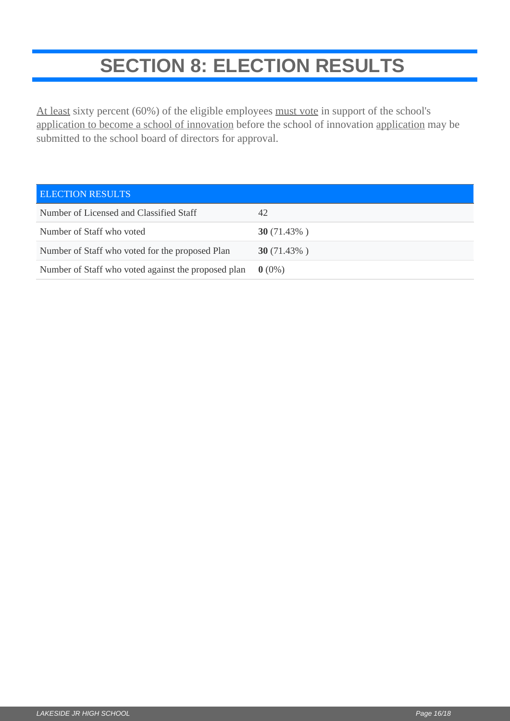# **SECTION 8: ELECTION RESULTS**

<span id="page-15-0"></span>At least sixty percent (60%) of the eligible employees must vote in support of the school's application to become a school of innovation before the school of innovation application may be submitted to the school board of directors for approval.

| <b>ELECTION RESULTS</b>                             |                |
|-----------------------------------------------------|----------------|
| Number of Licensed and Classified Staff             | 42             |
| Number of Staff who voted                           | 30 $(71.43\%)$ |
| Number of Staff who voted for the proposed Plan     | 30 $(71.43\%)$ |
| Number of Staff who voted against the proposed plan | $0(0\%)$       |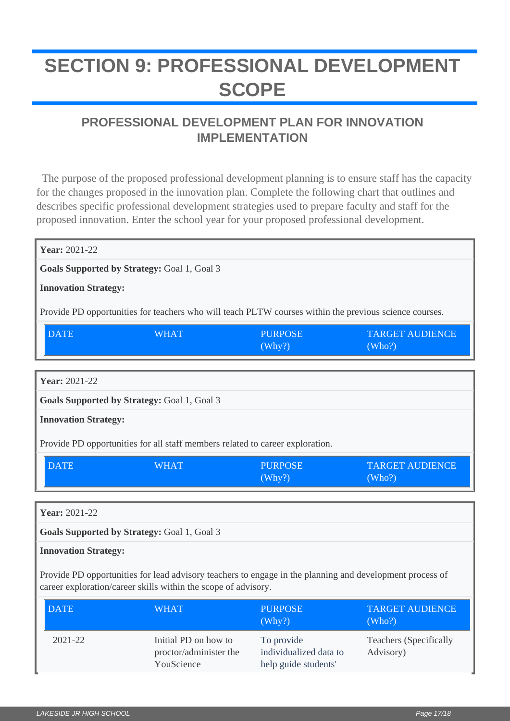# <span id="page-16-0"></span>**SECTION 9: PROFESSIONAL DEVELOPMENT SCOPE**

## **PROFESSIONAL DEVELOPMENT PLAN FOR INNOVATION IMPLEMENTATION**

 The purpose of the proposed professional development planning is to ensure staff has the capacity for the changes proposed in the innovation plan. Complete the following chart that outlines and describes specific professional development strategies used to prepare faculty and staff for the proposed innovation. Enter the school year for your proposed professional development.

| <b>Year: 2021-22</b>                                                                                   |                                                    |                          |                                  |  |  |  |
|--------------------------------------------------------------------------------------------------------|----------------------------------------------------|--------------------------|----------------------------------|--|--|--|
| <b>Goals Supported by Strategy: Goal 1, Goal 3</b>                                                     |                                                    |                          |                                  |  |  |  |
| <b>Innovation Strategy:</b>                                                                            |                                                    |                          |                                  |  |  |  |
| Provide PD opportunities for teachers who will teach PLTW courses within the previous science courses. |                                                    |                          |                                  |  |  |  |
| <b>DATE</b>                                                                                            | <b>WHAT</b>                                        | <b>PURPOSE</b><br>(Why?) | <b>TARGET AUDIENCE</b><br>(Who?) |  |  |  |
|                                                                                                        |                                                    |                          |                                  |  |  |  |
| <b>Year: 2021-22</b>                                                                                   |                                                    |                          |                                  |  |  |  |
|                                                                                                        | <b>Goals Supported by Strategy: Goal 1, Goal 3</b> |                          |                                  |  |  |  |
| <b>Innovation Strategy:</b>                                                                            |                                                    |                          |                                  |  |  |  |
| Provide PD opportunities for all staff members related to career exploration.                          |                                                    |                          |                                  |  |  |  |
| <b>DATE</b>                                                                                            | <b>WHAT</b>                                        | <b>PURPOSE</b><br>(Why?) | <b>TARGET AUDIENCE</b><br>(Who?) |  |  |  |
|                                                                                                        |                                                    |                          |                                  |  |  |  |
| <b>Year: 2021-22</b>                                                                                   |                                                    |                          |                                  |  |  |  |
| <b>Goals Supported by Strategy: Goal 1, Goal 3</b>                                                     |                                                    |                          |                                  |  |  |  |

#### **Innovation Strategy:**

Provide PD opportunities for lead advisory teachers to engage in the planning and development process of career exploration/career skills within the scope of advisory.

| DATE        | <b>WHAT</b>                                                  | <b>PURPOSE</b><br>(Why?)                                     | <b>TARGET AUDIENCE</b><br>(Who?)           |
|-------------|--------------------------------------------------------------|--------------------------------------------------------------|--------------------------------------------|
| $2021 - 22$ | Initial PD on how to<br>proctor/administer the<br>YouScience | To provide<br>individualized data to<br>help guide students' | <b>Teachers</b> (Specifically<br>Advisory) |